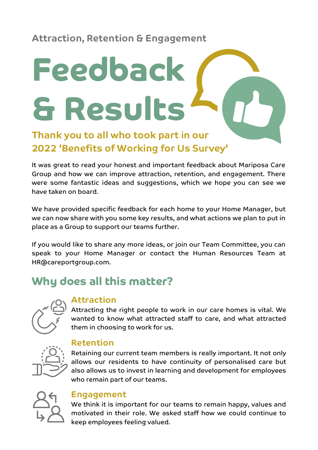**Attraction, Retention & Engagement**

# **Feedback & Results**

### **Thank you to all who took part in our 2022 'Benefits of Working for Us Survey'**

It was great to read your honest and important feedback about Mariposa Care Group and how we can improve attraction, retention, and engagement. There were some fantastic ideas and suggestions, which we hope you can see we have taken on board.

We have provided specific feedback for each home to your Home Manager, but we can now share with you some key results, and what actions we plan to put in place as a Group to support our teams further.

If you would like to share any more ideas, or join our Team Committee, you can speak to your Home Manager or contact the Human Resources Team at [HR@careportgroup.com](mailto:HR@careportgroup.com).

## **Why does all this matter?**



### **Attraction**

Attracting the right people to work in our care homes is vital. We wanted to know what attracted staff to care, and what attracted them in choosing to work for us.



### **Retention**

Retaining our current team members is really important. It not only allows our residents to have continuity of personalised care but also allows us to invest in learning and development for employees who remain part of our teams.



### **Engagement**

We think it is important for our teams to remain happy, values and motivated in their role. We asked staff how we could continue to keep employees feeling valued.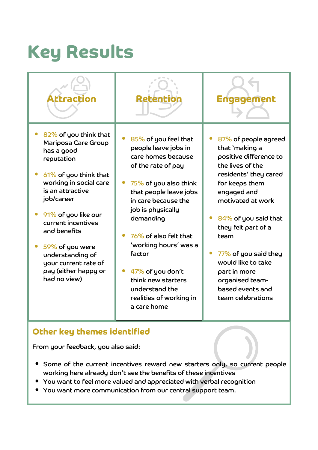# **Key Results**



### **Other key themes identified**

From your feedback, you also said:

- Some of the current incentives reward new starters only, so current people working here already don't see the benefits of these incentives
- You want to feel more valued and appreciated with verbal recognition
- You want more communication from our central support team.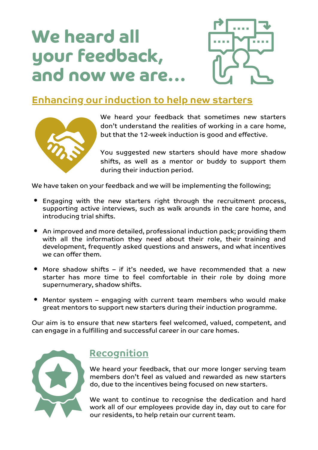# **We heard all your feedback, and now we are...**



### **Enhancing our induction to help new starters**



We heard your feedback that sometimes new starters don't understand the realities of working in a care home, but that the 12-week induction is good and effective.

You suggested new starters should have more shadow shifts, as well as a mentor or buddy to support them during their induction period.

We have taken on your feedback and we will be implementing the following;

- Engaging with the new starters right through the recruitment process, supporting active interviews, such as walk arounds in the care home, and introducing trial shifts.
- An improved and more detailed, professional induction pack; providing them with all the information they need about their role, their training and development, frequently asked questions and answers, and what incentives we can offer them.
- More shadow shifts if it's needed, we have recommended that a new starter has more time to feel comfortable in their role by doing more supernumerary, shadow shifts.
- Mentor system engaging with current team members who would make great mentors to support new starters during their induction programme.

Our aim is to ensure that new starters feel welcomed, valued, competent, and can engage in a fulfilling and successful career in our care homes.



### **Recognition**

We heard your feedback, that our more longer serving team members don't feel as valued and rewarded as new starters do, due to the incentives being focused on new starters.

We want to continue to recognise the dedication and hard work all of our employees provide day in, day out to care for our residents, to help retain our current team.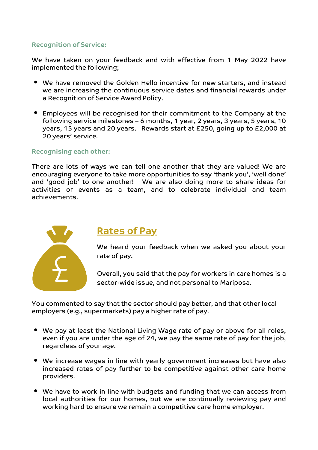#### **Recognition of Service:**

We have taken on your feedback and with effective from 1 May 2022 have implemented the following;

- We have removed the Golden Hello incentive for new starters, and instead we are increasing the continuous service dates and financial rewards under a Recognition of Service Award Policy.
- Employees will be recognised for their commitment to the Company at the following service milestones – 6 months, 1 year, 2 years, 3 years, 5 years, 10 years, 15 years and 20 years. Rewards start at £250, going up to £2,000 at 20 years' service.

#### **Recognising each other:**

There are lots of ways we can tell one another that they are valued! We are encouraging everyone to take more opportunities to say 'thank you', 'well done' and 'good job' to one another! We are also doing more to share ideas for activities or events as a team, and to celebrate individual and team achievements.



### **Rates of Pay**

We heard your feedback when we asked you about your rate of pay.

Overall, you said that the pay for workers in care homes is a sector-wide issue, and not personal to Mariposa.

You commented to say that the sector should pay better, and that other local employers (e.g., supermarkets) pay a higher rate of pay.

- We pay at least the National Living Wage rate of pay or above for all roles, even if you are under the age of 24, we pay the same rate of pay for the job, regardless of your age.
- We increase wages in line with yearly government increases but have also increased rates of pay further to be competitive against other care home providers.
- We have to work in line with budgets and funding that we can access from local authorities for our homes, but we are continually reviewing pay and working hard to ensure we remain a competitive care home employer.